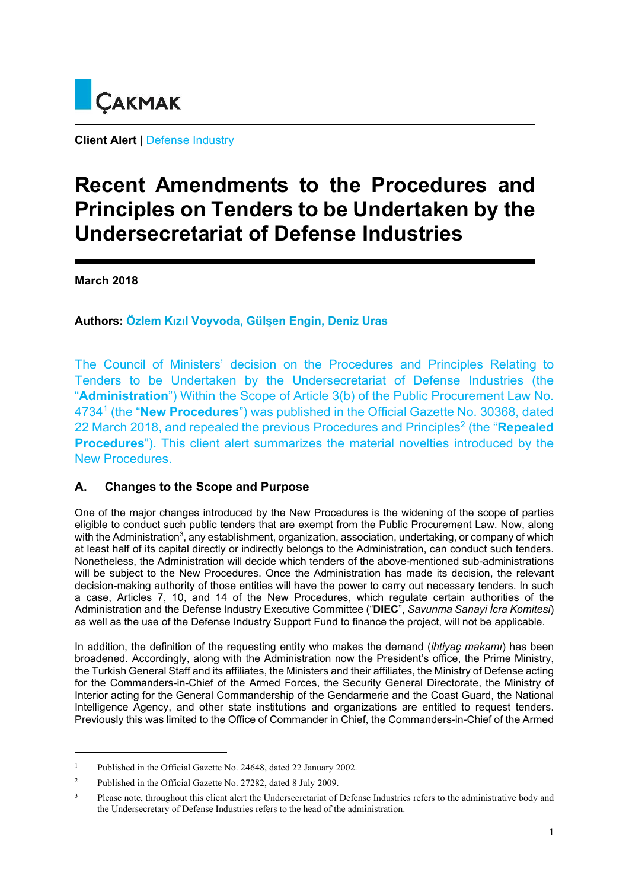

**Client Alert** | Defense Industry

# **Recent Amendments to the Procedures and Principles on Tenders to be Undertaken by the Undersecretariat of Defense Industries**

**March 2018** 

# **Authors: Özlem Kızıl Voyvoda, Gülşen Engin, Deniz Uras**

The Council of Ministers' decision on the Procedures and Principles Relating to Tenders to be Undertaken by the Undersecretariat of Defense Industries (the "**Administration**") Within the Scope of Article 3(b) of the Public Procurement Law No. 47341 (the "**New Procedures**") was published in the Official Gazette No. 30368, dated 22 March 2018, and repealed the previous Procedures and Principles2 (the "**Repealed Procedures**"). This client alert summarizes the material novelties introduced by the New Procedures.

# **A. Changes to the Scope and Purpose**

One of the major changes introduced by the New Procedures is the widening of the scope of parties eligible to conduct such public tenders that are exempt from the Public Procurement Law. Now, along with the Administration<sup>3</sup>, any establishment, organization, association, undertaking, or company of which at least half of its capital directly or indirectly belongs to the Administration, can conduct such tenders. Nonetheless, the Administration will decide which tenders of the above-mentioned sub-administrations will be subject to the New Procedures. Once the Administration has made its decision, the relevant decision-making authority of those entities will have the power to carry out necessary tenders. In such a case, Articles 7, 10, and 14 of the New Procedures, which regulate certain authorities of the Administration and the Defense Industry Executive Committee ("**DIEC**", *Savunma Sanayi İcra Komitesi*) as well as the use of the Defense Industry Support Fund to finance the project, will not be applicable.

In addition, the definition of the requesting entity who makes the demand (*ihtiyaç makamı*) has been broadened. Accordingly, along with the Administration now the President's office, the Prime Ministry, the Turkish General Staff and its affiliates, the Ministers and their affiliates, the Ministry of Defense acting for the Commanders-in-Chief of the Armed Forces, the Security General Directorate, the Ministry of Interior acting for the General Commandership of the Gendarmerie and the Coast Guard, the National Intelligence Agency, and other state institutions and organizations are entitled to request tenders. Previously this was limited to the Office of Commander in Chief, the Commanders-in-Chief of the Armed

<sup>&</sup>lt;sup>1</sup> Published in the Official Gazette No. 24648, dated 22 January 2002.

<sup>&</sup>lt;sup>2</sup> Published in the Official Gazette No. 27282, dated 8 July 2009.

<sup>&</sup>lt;sup>3</sup> Please note, throughout this client alert the Undersecretariat of Defense Industries refers to the administrative body and the Undersecretary of Defense Industries refers to the head of the administration.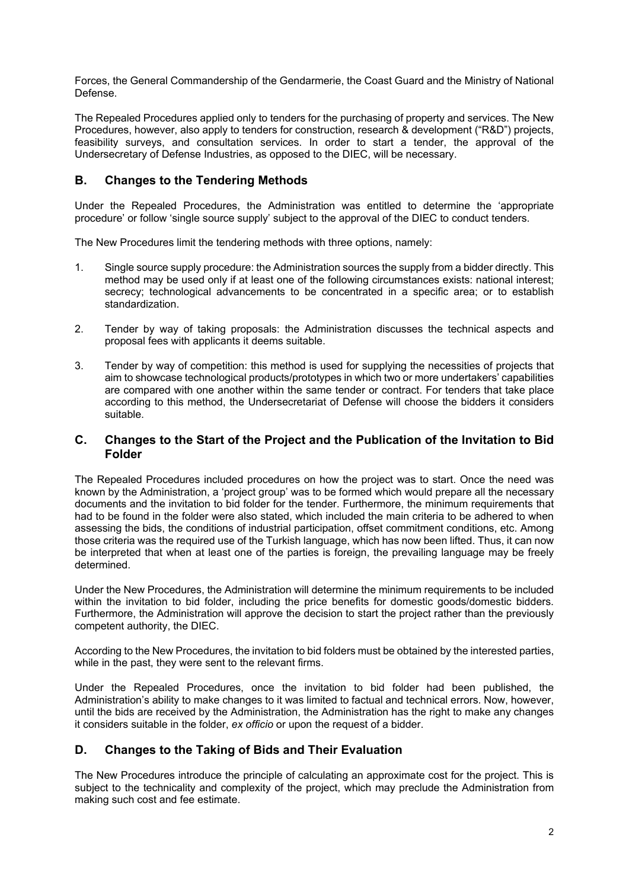Forces, the General Commandership of the Gendarmerie, the Coast Guard and the Ministry of National Defense.

The Repealed Procedures applied only to tenders for the purchasing of property and services. The New Procedures, however, also apply to tenders for construction, research & development ("R&D") projects, feasibility surveys, and consultation services. In order to start a tender, the approval of the Undersecretary of Defense Industries, as opposed to the DIEC, will be necessary.

#### **B. Changes to the Tendering Methods**

Under the Repealed Procedures, the Administration was entitled to determine the 'appropriate procedure' or follow 'single source supply' subject to the approval of the DIEC to conduct tenders.

The New Procedures limit the tendering methods with three options, namely:

- 1. Single source supply procedure: the Administration sources the supply from a bidder directly. This method may be used only if at least one of the following circumstances exists: national interest; secrecy; technological advancements to be concentrated in a specific area; or to establish standardization.
- 2. Tender by way of taking proposals: the Administration discusses the technical aspects and proposal fees with applicants it deems suitable.
- 3. Tender by way of competition: this method is used for supplying the necessities of projects that aim to showcase technological products/prototypes in which two or more undertakers' capabilities are compared with one another within the same tender or contract. For tenders that take place according to this method, the Undersecretariat of Defense will choose the bidders it considers suitable.

#### **C. Changes to the Start of the Project and the Publication of the Invitation to Bid Folder**

The Repealed Procedures included procedures on how the project was to start. Once the need was known by the Administration, a 'project group' was to be formed which would prepare all the necessary documents and the invitation to bid folder for the tender. Furthermore, the minimum requirements that had to be found in the folder were also stated, which included the main criteria to be adhered to when assessing the bids, the conditions of industrial participation, offset commitment conditions, etc. Among those criteria was the required use of the Turkish language, which has now been lifted. Thus, it can now be interpreted that when at least one of the parties is foreign, the prevailing language may be freely determined.

Under the New Procedures, the Administration will determine the minimum requirements to be included within the invitation to bid folder, including the price benefits for domestic goods/domestic bidders. Furthermore, the Administration will approve the decision to start the project rather than the previously competent authority, the DIEC.

According to the New Procedures, the invitation to bid folders must be obtained by the interested parties, while in the past, they were sent to the relevant firms.

Under the Repealed Procedures, once the invitation to bid folder had been published, the Administration's ability to make changes to it was limited to factual and technical errors. Now, however, until the bids are received by the Administration, the Administration has the right to make any changes it considers suitable in the folder, *ex officio* or upon the request of a bidder.

#### **D. Changes to the Taking of Bids and Their Evaluation**

The New Procedures introduce the principle of calculating an approximate cost for the project. This is subject to the technicality and complexity of the project, which may preclude the Administration from making such cost and fee estimate.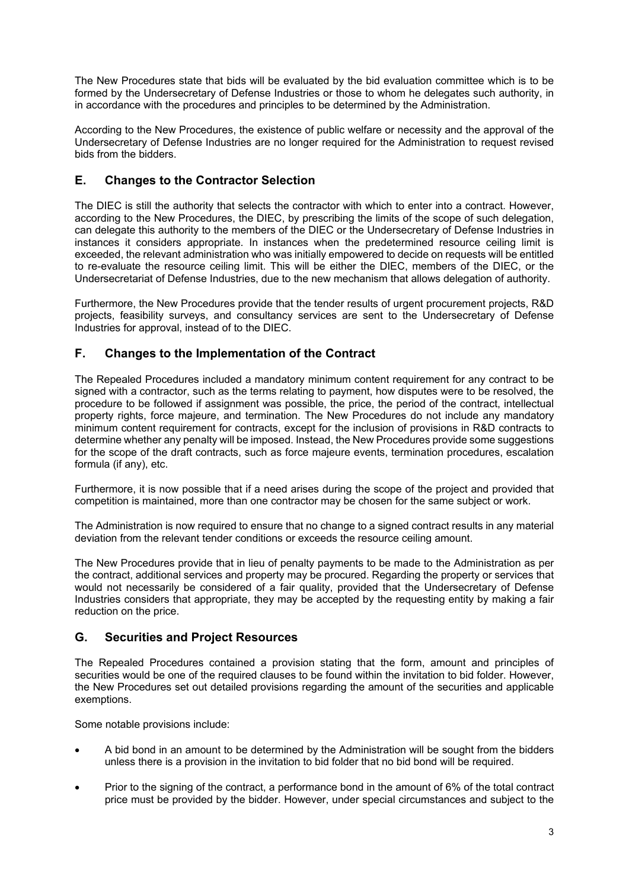The New Procedures state that bids will be evaluated by the bid evaluation committee which is to be formed by the Undersecretary of Defense Industries or those to whom he delegates such authority, in in accordance with the procedures and principles to be determined by the Administration.

According to the New Procedures, the existence of public welfare or necessity and the approval of the Undersecretary of Defense Industries are no longer required for the Administration to request revised bids from the bidders.

## **E. Changes to the Contractor Selection**

The DIEC is still the authority that selects the contractor with which to enter into a contract. However, according to the New Procedures, the DIEC, by prescribing the limits of the scope of such delegation, can delegate this authority to the members of the DIEC or the Undersecretary of Defense Industries in instances it considers appropriate. In instances when the predetermined resource ceiling limit is exceeded, the relevant administration who was initially empowered to decide on requests will be entitled to re-evaluate the resource ceiling limit. This will be either the DIEC, members of the DIEC, or the Undersecretariat of Defense Industries, due to the new mechanism that allows delegation of authority.

Furthermore, the New Procedures provide that the tender results of urgent procurement projects, R&D projects, feasibility surveys, and consultancy services are sent to the Undersecretary of Defense Industries for approval, instead of to the DIEC.

### **F. Changes to the Implementation of the Contract**

The Repealed Procedures included a mandatory minimum content requirement for any contract to be signed with a contractor, such as the terms relating to payment, how disputes were to be resolved, the procedure to be followed if assignment was possible, the price, the period of the contract, intellectual property rights, force majeure, and termination. The New Procedures do not include any mandatory minimum content requirement for contracts, except for the inclusion of provisions in R&D contracts to determine whether any penalty will be imposed. Instead, the New Procedures provide some suggestions for the scope of the draft contracts, such as force majeure events, termination procedures, escalation formula (if any), etc.

Furthermore, it is now possible that if a need arises during the scope of the project and provided that competition is maintained, more than one contractor may be chosen for the same subject or work.

The Administration is now required to ensure that no change to a signed contract results in any material deviation from the relevant tender conditions or exceeds the resource ceiling amount.

The New Procedures provide that in lieu of penalty payments to be made to the Administration as per the contract, additional services and property may be procured. Regarding the property or services that would not necessarily be considered of a fair quality, provided that the Undersecretary of Defense Industries considers that appropriate, they may be accepted by the requesting entity by making a fair reduction on the price.

# **G. Securities and Project Resources**

The Repealed Procedures contained a provision stating that the form, amount and principles of securities would be one of the required clauses to be found within the invitation to bid folder. However, the New Procedures set out detailed provisions regarding the amount of the securities and applicable exemptions.

Some notable provisions include:

- A bid bond in an amount to be determined by the Administration will be sought from the bidders unless there is a provision in the invitation to bid folder that no bid bond will be required.
- Prior to the signing of the contract, a performance bond in the amount of 6% of the total contract price must be provided by the bidder. However, under special circumstances and subject to the